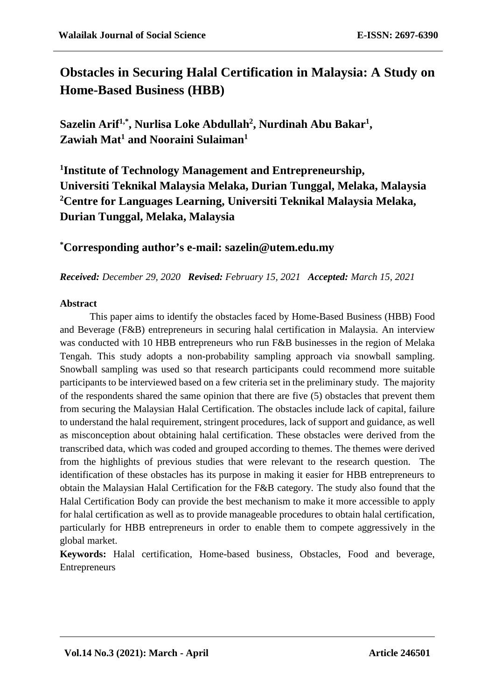# **Obstacles in Securing Halal Certification in Malaysia: A Study on Home-Based Business (HBB)**

Sazelin Arif<sup>1,\*</sup>, Nurlisa Loke Abdullah<sup>2</sup>, Nurdinah Abu Bakar<sup>1</sup>, **Zawiah Mat1 and Nooraini Sulaiman1**

**1 Institute of Technology Management and Entrepreneurship, Universiti Teknikal Malaysia Melaka, Durian Tunggal, Melaka, Malaysia 2 Centre for Languages Learning, Universiti Teknikal Malaysia Melaka, Durian Tunggal, Melaka, Malaysia**

## **\* Corresponding author's e-mail: sazelin@utem.edu.my**

#### *Received: December 29, 2020 Revised: February 15, 2021 Accepted: March 15, 2021*

#### **Abstract**

This paper aims to identify the obstacles faced by Home-Based Business (HBB) Food and Beverage (F&B) entrepreneurs in securing halal certification in Malaysia. An interview was conducted with 10 HBB entrepreneurs who run F&B businesses in the region of Melaka Tengah. This study adopts a non-probability sampling approach via snowball sampling. Snowball sampling was used so that research participants could recommend more suitable participants to be interviewed based on a few criteria set in the preliminary study. The majority of the respondents shared the same opinion that there are five (5) obstacles that prevent them from securing the Malaysian Halal Certification. The obstacles include lack of capital, failure to understand the halal requirement, stringent procedures, lack of support and guidance, as well as misconception about obtaining halal certification. These obstacles were derived from the transcribed data, which was coded and grouped according to themes. The themes were derived from the highlights of previous studies that were relevant to the research question. The identification of these obstacles has its purpose in making it easier for HBB entrepreneurs to obtain the Malaysian Halal Certification for the F&B category. The study also found that the Halal Certification Body can provide the best mechanism to make it more accessible to apply for halal certification as well as to provide manageable procedures to obtain halal certification, particularly for HBB entrepreneurs in order to enable them to compete aggressively in the global market.

**Keywords:** Halal certification, Home-based business, Obstacles, Food and beverage, Entrepreneurs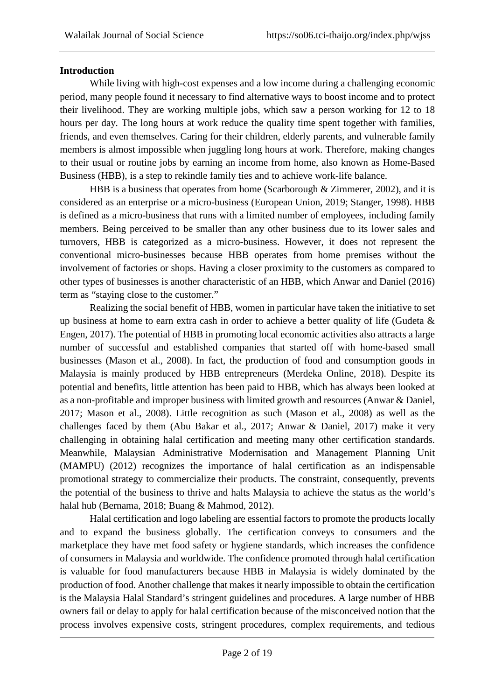## **Introduction**

While living with high-cost expenses and a low income during a challenging economic period, many people found it necessary to find alternative ways to boost income and to protect their livelihood. They are working multiple jobs, which saw a person working for 12 to 18 hours per day. The long hours at work reduce the quality time spent together with families, friends, and even themselves. Caring for their children, elderly parents, and vulnerable family members is almost impossible when juggling long hours at work. Therefore, making changes to their usual or routine jobs by earning an income from home, also known as Home-Based Business (HBB), is a step to rekindle family ties and to achieve work-life balance.

HBB is a business that operates from home (Scarborough & Zimmerer, 2002), and it is considered as an enterprise or a micro-business (European Union, 2019; Stanger, 1998). HBB is defined as a micro-business that runs with a limited number of employees, including family members. Being perceived to be smaller than any other business due to its lower sales and turnovers, HBB is categorized as a micro-business. However, it does not represent the conventional micro-businesses because HBB operates from home premises without the involvement of factories or shops. Having a closer proximity to the customers as compared to other types of businesses is another characteristic of an HBB, which Anwar and Daniel (2016) term as "staying close to the customer."

Realizing the social benefit of HBB, women in particular have taken the initiative to set up business at home to earn extra cash in order to achieve a better quality of life (Gudeta & Engen, 2017). The potential of HBB in promoting local economic activities also attracts a large number of successful and established companies that started off with home-based small businesses (Mason et al., 2008). In fact, the production of food and consumption goods in Malaysia is mainly produced by HBB entrepreneurs (Merdeka Online, 2018). Despite its potential and benefits, little attention has been paid to HBB, which has always been looked at as a non-profitable and improper business with limited growth and resources (Anwar & Daniel, 2017; Mason et al., 2008). Little recognition as such (Mason et al., 2008) as well as the challenges faced by them (Abu Bakar et al., 2017; Anwar & Daniel, 2017) make it very challenging in obtaining halal certification and meeting many other certification standards. Meanwhile, Malaysian Administrative Modernisation and Management Planning Unit (MAMPU) (2012) recognizes the importance of halal certification as an indispensable promotional strategy to commercialize their products. The constraint, consequently, prevents the potential of the business to thrive and halts Malaysia to achieve the status as the world's halal hub (Bernama, 2018; Buang & Mahmod, 2012).

Halal certification and logo labeling are essential factors to promote the products locally and to expand the business globally. The certification conveys to consumers and the marketplace they have met food safety or hygiene standards, which increases the confidence of consumers in Malaysia and worldwide. The confidence promoted through halal certification is valuable for food manufacturers because HBB in Malaysia is widely dominated by the production of food. Another challenge that makes it nearly impossible to obtain the certification is the Malaysia Halal Standard's stringent guidelines and procedures. A large number of HBB owners fail or delay to apply for halal certification because of the misconceived notion that the process involves expensive costs, stringent procedures, complex requirements, and tedious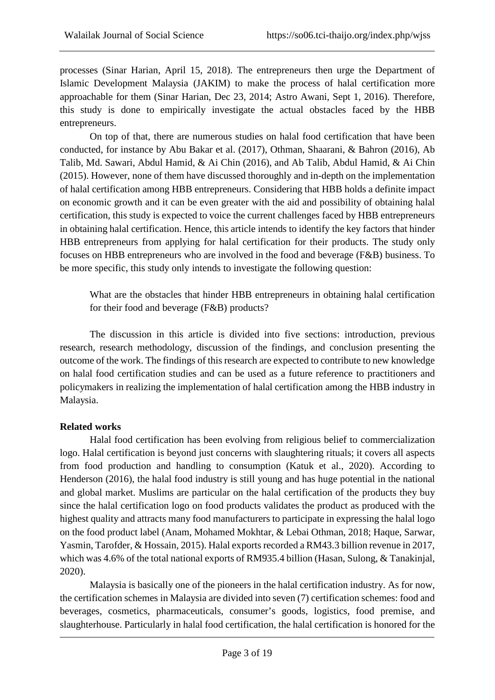processes (Sinar Harian, April 15, 2018). The entrepreneurs then urge the Department of Islamic Development Malaysia (JAKIM) to make the process of halal certification more approachable for them (Sinar Harian, Dec 23, 2014; Astro Awani, Sept 1, 2016). Therefore, this study is done to empirically investigate the actual obstacles faced by the HBB entrepreneurs.

On top of that, there are numerous studies on halal food certification that have been conducted, for instance by Abu Bakar et al. (2017), Othman, Shaarani, & Bahron (2016), Ab Talib, Md. Sawari, Abdul Hamid, & Ai Chin (2016), and Ab Talib, Abdul Hamid, & Ai Chin (2015). However, none of them have discussed thoroughly and in-depth on the implementation of halal certification among HBB entrepreneurs. Considering that HBB holds a definite impact on economic growth and it can be even greater with the aid and possibility of obtaining halal certification, this study is expected to voice the current challenges faced by HBB entrepreneurs in obtaining halal certification. Hence, this article intends to identify the key factors that hinder HBB entrepreneurs from applying for halal certification for their products. The study only focuses on HBB entrepreneurs who are involved in the food and beverage (F&B) business. To be more specific, this study only intends to investigate the following question:

What are the obstacles that hinder HBB entrepreneurs in obtaining halal certification for their food and beverage (F&B) products?

The discussion in this article is divided into five sections: introduction, previous research, research methodology, discussion of the findings, and conclusion presenting the outcome of the work. The findings of this research are expected to contribute to new knowledge on halal food certification studies and can be used as a future reference to practitioners and policymakers in realizing the implementation of halal certification among the HBB industry in Malaysia.

## **Related works**

Halal food certification has been evolving from religious belief to commercialization logo. Halal certification is beyond just concerns with slaughtering rituals; it covers all aspects from food production and handling to consumption (Katuk et al., 2020). According to Henderson (2016), the halal food industry is still young and has huge potential in the national and global market. Muslims are particular on the halal certification of the products they buy since the halal certification logo on food products validates the product as produced with the highest quality and attracts many food manufacturers to participate in expressing the halal logo on the food product label (Anam, Mohamed Mokhtar, & Lebai Othman, 2018; Haque, Sarwar, Yasmin, Tarofder, & Hossain, 2015). Halal exports recorded a RM43.3 billion revenue in 2017, which was 4.6% of the total national exports of RM935.4 billion (Hasan, Sulong, & Tanakinjal, 2020).

Malaysia is basically one of the pioneers in the halal certification industry. As for now, the certification schemes in Malaysia are divided into seven (7) certification schemes: food and beverages, cosmetics, pharmaceuticals, consumer's goods, logistics, food premise, and slaughterhouse. Particularly in halal food certification, the halal certification is honored for the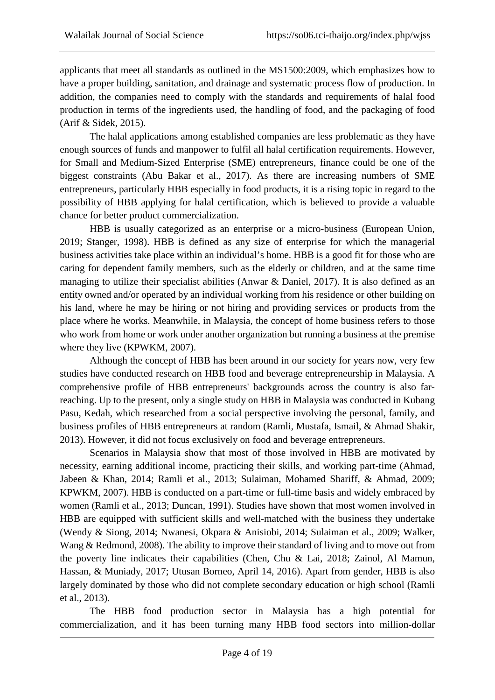applicants that meet all standards as outlined in the MS1500:2009, which emphasizes how to have a proper building, sanitation, and drainage and systematic process flow of production. In addition, the companies need to comply with the standards and requirements of halal food production in terms of the ingredients used, the handling of food, and the packaging of food (Arif & Sidek, 2015).

The halal applications among established companies are less problematic as they have enough sources of funds and manpower to fulfil all halal certification requirements. However, for Small and Medium-Sized Enterprise (SME) entrepreneurs, finance could be one of the biggest constraints (Abu Bakar et al., 2017). As there are increasing numbers of SME entrepreneurs, particularly HBB especially in food products, it is a rising topic in regard to the possibility of HBB applying for halal certification, which is believed to provide a valuable chance for better product commercialization.

HBB is usually categorized as an enterprise or a micro-business (European Union, 2019; Stanger, 1998). HBB is defined as any size of enterprise for which the managerial business activities take place within an individual's home. HBB is a good fit for those who are caring for dependent family members, such as the elderly or children, and at the same time managing to utilize their specialist abilities (Anwar & Daniel, 2017). It is also defined as an entity owned and/or operated by an individual working from his residence or other building on his land, where he may be hiring or not hiring and providing services or products from the place where he works. Meanwhile, in Malaysia, the concept of home business refers to those who work from home or work under another organization but running a business at the premise where they live (KPWKM, 2007).

Although the concept of HBB has been around in our society for years now, very few studies have conducted research on HBB food and beverage entrepreneurship in Malaysia. A comprehensive profile of HBB entrepreneurs' backgrounds across the country is also farreaching. Up to the present, only a single study on HBB in Malaysia was conducted in Kubang Pasu, Kedah, which researched from a social perspective involving the personal, family, and business profiles of HBB entrepreneurs at random (Ramli, Mustafa, Ismail, & Ahmad Shakir, 2013). However, it did not focus exclusively on food and beverage entrepreneurs.

Scenarios in Malaysia show that most of those involved in HBB are motivated by necessity, earning additional income, practicing their skills, and working part-time (Ahmad, Jabeen & Khan, 2014; Ramli et al., 2013; Sulaiman, Mohamed Shariff, & Ahmad, 2009; KPWKM, 2007). HBB is conducted on a part-time or full-time basis and widely embraced by women (Ramli et al., 2013; Duncan, 1991). Studies have shown that most women involved in HBB are equipped with sufficient skills and well-matched with the business they undertake (Wendy & Siong, 2014; Nwanesi, Okpara & Anisiobi, 2014; Sulaiman et al., 2009; Walker, Wang & Redmond, 2008). The ability to improve their standard of living and to move out from the poverty line indicates their capabilities (Chen, Chu & Lai, 2018; Zainol, Al Mamun, Hassan, & Muniady, 2017; Utusan Borneo, April 14, 2016). Apart from gender, HBB is also largely dominated by those who did not complete secondary education or high school (Ramli et al., 2013).

The HBB food production sector in Malaysia has a high potential for commercialization, and it has been turning many HBB food sectors into million-dollar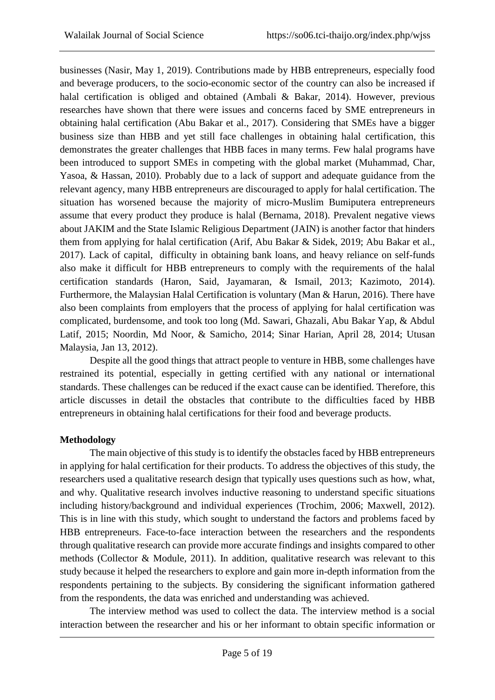businesses (Nasir, May 1, 2019). Contributions made by HBB entrepreneurs, especially food and beverage producers, to the socio-economic sector of the country can also be increased if halal certification is obliged and obtained (Ambali & Bakar, 2014). However, previous researches have shown that there were issues and concerns faced by SME entrepreneurs in obtaining halal certification (Abu Bakar et al., 2017). Considering that SMEs have a bigger business size than HBB and yet still face challenges in obtaining halal certification, this demonstrates the greater challenges that HBB faces in many terms. Few halal programs have been introduced to support SMEs in competing with the global market (Muhammad, Char, Yasoa, & Hassan, 2010). Probably due to a lack of support and adequate guidance from the relevant agency, many HBB entrepreneurs are discouraged to apply for halal certification. The situation has worsened because the majority of micro-Muslim Bumiputera entrepreneurs assume that every product they produce is halal (Bernama, 2018). Prevalent negative views about JAKIM and the State Islamic Religious Department (JAIN) is another factor that hinders them from applying for halal certification (Arif, Abu Bakar & Sidek, 2019; Abu Bakar et al., 2017). Lack of capital, difficulty in obtaining bank loans, and heavy reliance on self-funds also make it difficult for HBB entrepreneurs to comply with the requirements of the halal certification standards (Haron, Said, Jayamaran, & Ismail, 2013; Kazimoto, 2014). Furthermore, the Malaysian Halal Certification is voluntary (Man & Harun, 2016). There have also been complaints from employers that the process of applying for halal certification was complicated, burdensome, and took too long (Md. Sawari, Ghazali, Abu Bakar Yap, & Abdul Latif, 2015; Noordin, Md Noor, & Samicho, 2014; Sinar Harian, April 28, 2014; Utusan Malaysia, Jan 13, 2012).

Despite all the good things that attract people to venture in HBB, some challenges have restrained its potential, especially in getting certified with any national or international standards. These challenges can be reduced if the exact cause can be identified. Therefore, this article discusses in detail the obstacles that contribute to the difficulties faced by HBB entrepreneurs in obtaining halal certifications for their food and beverage products.

## **Methodology**

The main objective of this study is to identify the obstacles faced by HBB entrepreneurs in applying for halal certification for their products. To address the objectives of this study, the researchers used a qualitative research design that typically uses questions such as how, what, and why. Qualitative research involves inductive reasoning to understand specific situations including history/background and individual experiences (Trochim, 2006; Maxwell, 2012). This is in line with this study, which sought to understand the factors and problems faced by HBB entrepreneurs. Face-to-face interaction between the researchers and the respondents through qualitative research can provide more accurate findings and insights compared to other methods (Collector & Module, 2011). In addition, qualitative research was relevant to this study because it helped the researchers to explore and gain more in-depth information from the respondents pertaining to the subjects. By considering the significant information gathered from the respondents, the data was enriched and understanding was achieved.

The interview method was used to collect the data. The interview method is a social interaction between the researcher and his or her informant to obtain specific information or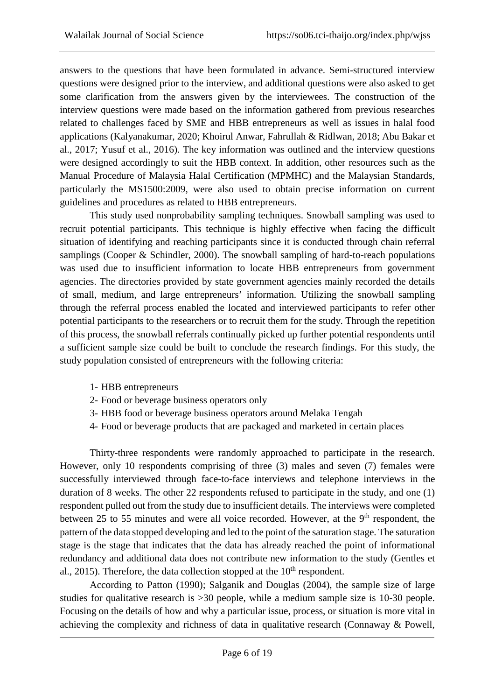answers to the questions that have been formulated in advance. Semi-structured interview questions were designed prior to the interview, and additional questions were also asked to get some clarification from the answers given by the interviewees. The construction of the interview questions were made based on the information gathered from previous researches related to challenges faced by SME and HBB entrepreneurs as well as issues in halal food applications (Kalyanakumar, 2020; Khoirul Anwar, Fahrullah & Ridlwan, 2018; Abu Bakar et al., 2017; Yusuf et al., 2016). The key information was outlined and the interview questions were designed accordingly to suit the HBB context. In addition, other resources such as the Manual Procedure of Malaysia Halal Certification (MPMHC) and the Malaysian Standards, particularly the MS1500:2009, were also used to obtain precise information on current guidelines and procedures as related to HBB entrepreneurs.

This study used nonprobability sampling techniques. Snowball sampling was used to recruit potential participants. This technique is highly effective when facing the difficult situation of identifying and reaching participants since it is conducted through chain referral samplings (Cooper & Schindler, 2000). The snowball sampling of hard-to-reach populations was used due to insufficient information to locate HBB entrepreneurs from government agencies. The directories provided by state government agencies mainly recorded the details of small, medium, and large entrepreneurs' information. Utilizing the snowball sampling through the referral process enabled the located and interviewed participants to refer other potential participants to the researchers or to recruit them for the study. Through the repetition of this process, the snowball referrals continually picked up further potential respondents until a sufficient sample size could be built to conclude the research findings. For this study, the study population consisted of entrepreneurs with the following criteria:

- 1- HBB entrepreneurs
- 2- Food or beverage business operators only
- 3- HBB food or beverage business operators around Melaka Tengah
- 4- Food or beverage products that are packaged and marketed in certain places

Thirty-three respondents were randomly approached to participate in the research. However, only 10 respondents comprising of three (3) males and seven (7) females were successfully interviewed through face-to-face interviews and telephone interviews in the duration of 8 weeks. The other 22 respondents refused to participate in the study, and one (1) respondent pulled out from the study due to insufficient details. The interviews were completed between 25 to 55 minutes and were all voice recorded. However, at the 9<sup>th</sup> respondent, the pattern of the data stopped developing and led to the point of the saturation stage. The saturation stage is the stage that indicates that the data has already reached the point of informational redundancy and additional data does not contribute new information to the study (Gentles et al., 2015). Therefore, the data collection stopped at the  $10<sup>th</sup>$  respondent.

According to Patton (1990); Salganik and Douglas (2004), the sample size of large studies for qualitative research is >30 people, while a medium sample size is 10-30 people. Focusing on the details of how and why a particular issue, process, or situation is more vital in achieving the complexity and richness of data in qualitative research (Connaway & Powell,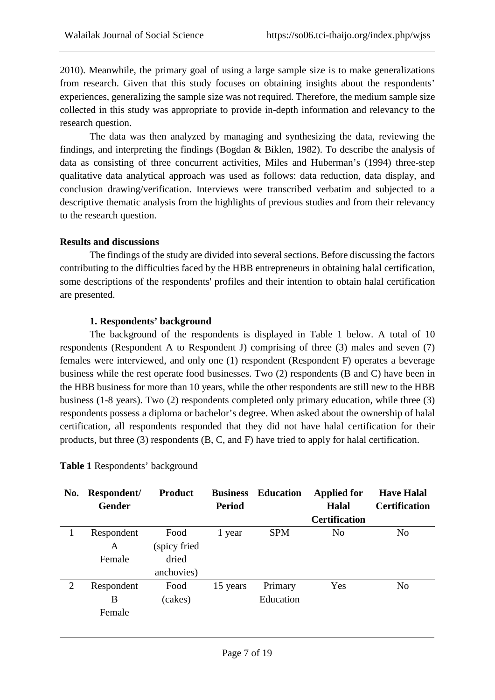2010). Meanwhile, the primary goal of using a large sample size is to make generalizations from research. Given that this study focuses on obtaining insights about the respondents' experiences, generalizing the sample size was not required. Therefore, the medium sample size collected in this study was appropriate to provide in-depth information and relevancy to the research question.

The data was then analyzed by managing and synthesizing the data, reviewing the findings, and interpreting the findings (Bogdan & Biklen, 1982). To describe the analysis of data as consisting of three concurrent activities, Miles and Huberman's (1994) three-step qualitative data analytical approach was used as follows: data reduction, data display, and conclusion drawing/verification. Interviews were transcribed verbatim and subjected to a descriptive thematic analysis from the highlights of previous studies and from their relevancy to the research question.

## **Results and discussions**

The findings of the study are divided into several sections. Before discussing the factors contributing to the difficulties faced by the HBB entrepreneurs in obtaining halal certification, some descriptions of the respondents' profiles and their intention to obtain halal certification are presented.

## **1. Respondents' background**

The background of the respondents is displayed in Table 1 below. A total of 10 respondents (Respondent A to Respondent J) comprising of three (3) males and seven (7) females were interviewed, and only one (1) respondent (Respondent F) operates a beverage business while the rest operate food businesses. Two (2) respondents (B and C) have been in the HBB business for more than 10 years, while the other respondents are still new to the HBB business (1-8 years). Two (2) respondents completed only primary education, while three (3) respondents possess a diploma or bachelor's degree. When asked about the ownership of halal certification, all respondents responded that they did not have halal certification for their products, but three (3) respondents (B, C, and F) have tried to apply for halal certification.

| No. | Respondent/<br><b>Gender</b> | <b>Product</b> | <b>Business</b><br><b>Period</b> | <b>Education</b> | <b>Applied for</b><br>Halal | <b>Have Halal</b><br><b>Certification</b> |
|-----|------------------------------|----------------|----------------------------------|------------------|-----------------------------|-------------------------------------------|
|     |                              |                |                                  |                  | <b>Certification</b>        |                                           |
|     | Respondent                   | Food           | 1 year                           | <b>SPM</b>       | No                          | N <sub>0</sub>                            |
|     | A                            | (spicy fried   |                                  |                  |                             |                                           |
|     | Female                       | dried          |                                  |                  |                             |                                           |
|     |                              | anchovies)     |                                  |                  |                             |                                           |
| 2   | Respondent                   | Food           | 15 years                         | Primary          | Yes                         | N <sub>o</sub>                            |
|     | B                            | (cakes)        |                                  | Education        |                             |                                           |
|     | Female                       |                |                                  |                  |                             |                                           |
|     |                              |                |                                  |                  |                             |                                           |

**Table 1** Respondents' background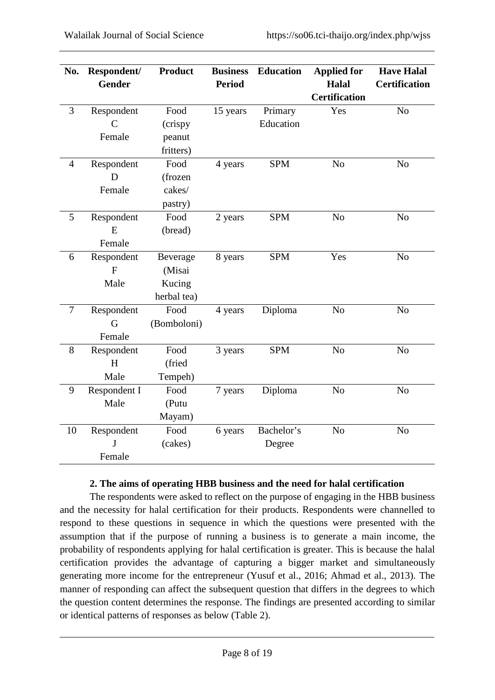| No.            | Respondent/<br><b>Gender</b> | <b>Product</b> | <b>Business</b><br><b>Period</b> | <b>Education</b> | <b>Applied for</b><br><b>Halal</b><br><b>Certification</b> | <b>Have Halal</b><br><b>Certification</b> |
|----------------|------------------------------|----------------|----------------------------------|------------------|------------------------------------------------------------|-------------------------------------------|
| $\overline{3}$ | Respondent                   | Food           | 15 years                         | Primary          | Yes                                                        | N <sub>o</sub>                            |
|                | $\mathsf{C}$                 | (crispy        |                                  | Education        |                                                            |                                           |
|                | Female                       | peanut         |                                  |                  |                                                            |                                           |
|                |                              | fritters)      |                                  |                  |                                                            |                                           |
| $\overline{4}$ | Respondent                   | Food           | 4 years                          | <b>SPM</b>       | N <sub>o</sub>                                             | N <sub>o</sub>                            |
|                | D                            | (frozen        |                                  |                  |                                                            |                                           |
|                | Female                       | cakes/         |                                  |                  |                                                            |                                           |
|                |                              | pastry)        |                                  |                  |                                                            |                                           |
| 5              | Respondent                   | Food           | 2 years                          | <b>SPM</b>       | N <sub>o</sub>                                             | N <sub>o</sub>                            |
|                | E                            | (bread)        |                                  |                  |                                                            |                                           |
|                | Female                       |                |                                  |                  |                                                            |                                           |
| 6              | Respondent                   | Beverage       | 8 years                          | <b>SPM</b>       | Yes                                                        | N <sub>o</sub>                            |
|                | F                            | (Misai         |                                  |                  |                                                            |                                           |
|                | Male                         | Kucing         |                                  |                  |                                                            |                                           |
|                |                              | herbal tea)    |                                  |                  |                                                            |                                           |
| $\overline{7}$ | Respondent                   | Food           | 4 years                          | Diploma          | N <sub>o</sub>                                             | N <sub>o</sub>                            |
|                | G                            | (Bomboloni)    |                                  |                  |                                                            |                                           |
|                | Female                       |                |                                  |                  |                                                            |                                           |
| 8              | Respondent                   | Food           | 3 years                          | <b>SPM</b>       | N <sub>o</sub>                                             | N <sub>o</sub>                            |
|                | H                            | (fried         |                                  |                  |                                                            |                                           |
|                | Male                         | Tempeh)        |                                  |                  |                                                            |                                           |
| 9              | Respondent I                 | Food           | 7 years                          | Diploma          | N <sub>o</sub>                                             | No                                        |
|                | Male                         | (Putu          |                                  |                  |                                                            |                                           |
|                |                              | Mayam)         |                                  |                  |                                                            |                                           |
| 10             | Respondent                   | Food           | 6 years                          | Bachelor's       | N <sub>o</sub>                                             | N <sub>o</sub>                            |
|                | $\mathbf{I}$                 | (cakes)        |                                  | Degree           |                                                            |                                           |
|                | Female                       |                |                                  |                  |                                                            |                                           |

## **2. The aims of operating HBB business and the need for halal certification**

The respondents were asked to reflect on the purpose of engaging in the HBB business and the necessity for halal certification for their products. Respondents were channelled to respond to these questions in sequence in which the questions were presented with the assumption that if the purpose of running a business is to generate a main income, the probability of respondents applying for halal certification is greater. This is because the halal certification provides the advantage of capturing a bigger market and simultaneously generating more income for the entrepreneur (Yusuf et al., 2016; Ahmad et al., 2013). The manner of responding can affect the subsequent question that differs in the degrees to which the question content determines the response. The findings are presented according to similar or identical patterns of responses as below (Table 2).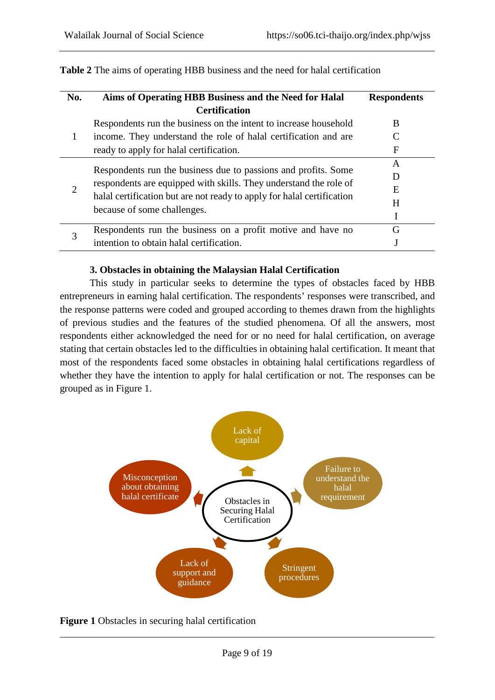| No. | Aims of Operating HBB Business and the Need for Halal                  | <b>Respondents</b> |
|-----|------------------------------------------------------------------------|--------------------|
|     | <b>Certification</b>                                                   |                    |
| 1   | Respondents run the business on the intent to increase household       | B                  |
|     | income. They understand the role of halal certification and are        |                    |
|     | ready to apply for halal certification.                                | F                  |
| 2   |                                                                        | A                  |
|     | Respondents run the business due to passions and profits. Some         | Đ                  |
|     | respondents are equipped with skills. They understand the role of      | E                  |
|     | halal certification but are not ready to apply for halal certification | H                  |
|     | because of some challenges.                                            |                    |
| 3   | Respondents run the business on a profit motive and have no            | G                  |
|     | intention to obtain halal certification.                               |                    |

**Table 2** The aims of operating HBB business and the need for halal certification

#### **3. Obstacles in obtaining the Malaysian Halal Certification**

This study in particular seeks to determine the types of obstacles faced by HBB entrepreneurs in earning halal certification. The respondents' responses were transcribed, and the response patterns were coded and grouped according to themes drawn from the highlights of previous studies and the features of the studied phenomena. Of all the answers, most respondents either acknowledged the need for or no need for halal certification, on average stating that certain obstacles led to the difficulties in obtaining halal certification. It meant that most of the respondents faced some obstacles in obtaining halal certifications regardless of whether they have the intention to apply for halal certification or not. The responses can be grouped as in Figure 1.



**Figure 1** Obstacles in securing halal certification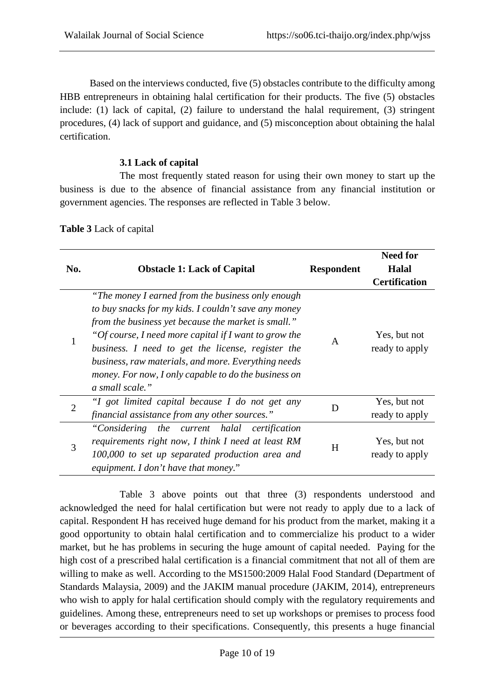Based on the interviews conducted, five (5) obstacles contribute to the difficulty among HBB entrepreneurs in obtaining halal certification for their products. The five (5) obstacles include: (1) lack of capital, (2) failure to understand the halal requirement, (3) stringent procedures, (4) lack of support and guidance, and (5) misconception about obtaining the halal certification.

## **3.1 Lack of capital**

The most frequently stated reason for using their own money to start up the business is due to the absence of financial assistance from any financial institution or government agencies. The responses are reflected in Table 3 below.

| No.            | <b>Obstacle 1: Lack of Capital</b>                                                                                                                                                                                                                                                                                                                                                                               | <b>Respondent</b> | <b>Need for</b><br><b>Halal</b><br><b>Certification</b> |
|----------------|------------------------------------------------------------------------------------------------------------------------------------------------------------------------------------------------------------------------------------------------------------------------------------------------------------------------------------------------------------------------------------------------------------------|-------------------|---------------------------------------------------------|
| 1              | "The money I earned from the business only enough<br>to buy snacks for my kids. I couldn't save any money<br>from the business yet because the market is small."<br>"Of course, I need more capital if I want to grow the<br>business. I need to get the license, register the<br>business, raw materials, and more. Everything needs<br>money. For now, I only capable to do the business on<br>a small scale." | $\mathsf{A}$      | Yes, but not<br>ready to apply                          |
| $\overline{2}$ | "I got limited capital because I do not get any<br>financial assistance from any other sources."                                                                                                                                                                                                                                                                                                                 | D                 | Yes, but not<br>ready to apply                          |
| 3              | "Considering the current halal certification<br>requirements right now, I think I need at least RM<br>100,000 to set up separated production area and<br>equipment. I don't have that money."                                                                                                                                                                                                                    | H                 | Yes, but not<br>ready to apply                          |

**Table 3** Lack of capital

Table 3 above points out that three (3) respondents understood and acknowledged the need for halal certification but were not ready to apply due to a lack of capital. Respondent H has received huge demand for his product from the market, making it a good opportunity to obtain halal certification and to commercialize his product to a wider market, but he has problems in securing the huge amount of capital needed. Paying for the high cost of a prescribed halal certification is a financial commitment that not all of them are willing to make as well. According to the MS1500:2009 Halal Food Standard (Department of Standards Malaysia, 2009) and the JAKIM manual procedure (JAKIM, 2014), entrepreneurs who wish to apply for halal certification should comply with the regulatory requirements and guidelines. Among these, entrepreneurs need to set up workshops or premises to process food or beverages according to their specifications. Consequently, this presents a huge financial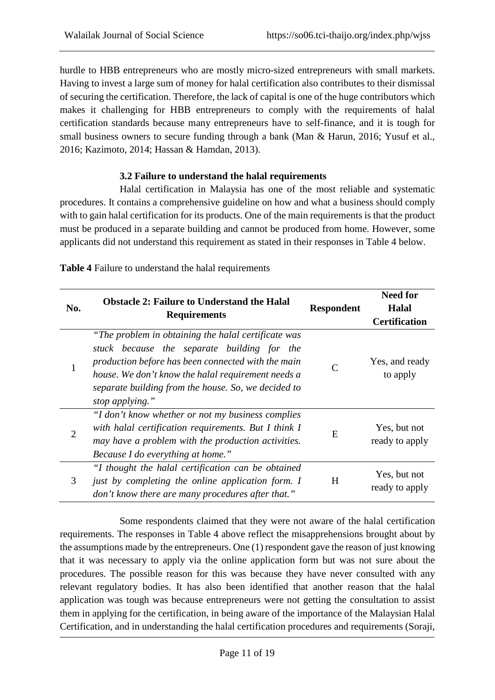hurdle to HBB entrepreneurs who are mostly micro-sized entrepreneurs with small markets. Having to invest a large sum of money for halal certification also contributes to their dismissal of securing the certification. Therefore, the lack of capital is one of the huge contributors which makes it challenging for HBB entrepreneurs to comply with the requirements of halal certification standards because many entrepreneurs have to self-finance, and it is tough for small business owners to secure funding through a bank (Man & Harun, 2016; Yusuf et al., 2016; Kazimoto, 2014; Hassan & Hamdan, 2013).

#### **3.2 Failure to understand the halal requirements**

Halal certification in Malaysia has one of the most reliable and systematic procedures. It contains a comprehensive guideline on how and what a business should comply with to gain halal certification for its products. One of the main requirements is that the product must be produced in a separate building and cannot be produced from home. However, some applicants did not understand this requirement as stated in their responses in Table 4 below.

| No.            | <b>Obstacle 2: Failure to Understand the Halal</b><br><b>Requirements</b>                                                                                                                                                                                                                | <b>Respondent</b> | <b>Need for</b><br><b>Halal</b><br><b>Certification</b> |
|----------------|------------------------------------------------------------------------------------------------------------------------------------------------------------------------------------------------------------------------------------------------------------------------------------------|-------------------|---------------------------------------------------------|
| 1              | "The problem in obtaining the halal certificate was<br>stuck because the separate building for the<br>production before has been connected with the main<br>house. We don't know the halal requirement needs a<br>separate building from the house. So, we decided to<br>stop applying." |                   | Yes, and ready<br>to apply                              |
| $\overline{2}$ | "I don't know whether or not my business complies<br>with halal certification requirements. But I think I<br>may have a problem with the production activities.<br>Because I do everything at home."                                                                                     | E                 | Yes, but not<br>ready to apply                          |
| 3              | "I thought the halal certification can be obtained<br>just by completing the online application form. I<br>don't know there are many procedures after that."                                                                                                                             | H                 | Yes, but not<br>ready to apply                          |

**Table 4** Failure to understand the halal requirements

Some respondents claimed that they were not aware of the halal certification requirements. The responses in Table 4 above reflect the misapprehensions brought about by the assumptions made by the entrepreneurs. One (1) respondent gave the reason of just knowing that it was necessary to apply via the online application form but was not sure about the procedures. The possible reason for this was because they have never consulted with any relevant regulatory bodies. It has also been identified that another reason that the halal application was tough was because entrepreneurs were not getting the consultation to assist them in applying for the certification, in being aware of the importance of the Malaysian Halal Certification, and in understanding the halal certification procedures and requirements (Soraji,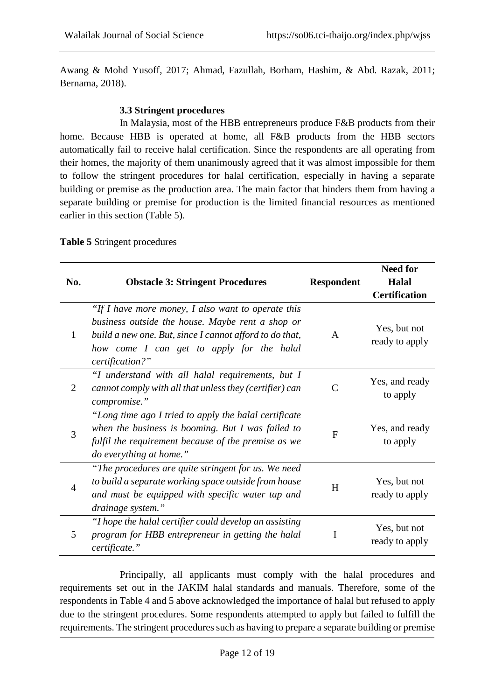Awang & Mohd Yusoff, 2017; Ahmad, Fazullah, Borham, Hashim, & Abd. Razak, 2011; Bernama, 2018).

## **3.3 Stringent procedures**

In Malaysia, most of the HBB entrepreneurs produce F&B products from their home. Because HBB is operated at home, all F&B products from the HBB sectors automatically fail to receive halal certification. Since the respondents are all operating from their homes, the majority of them unanimously agreed that it was almost impossible for them to follow the stringent procedures for halal certification, especially in having a separate building or premise as the production area. The main factor that hinders them from having a separate building or premise for production is the limited financial resources as mentioned earlier in this section (Table 5).

| No.            | <b>Obstacle 3: Stringent Procedures</b>                                                                                                                                                                                           | <b>Respondent</b> | <b>Need for</b><br>Halal<br><b>Certification</b> |
|----------------|-----------------------------------------------------------------------------------------------------------------------------------------------------------------------------------------------------------------------------------|-------------------|--------------------------------------------------|
| $\mathbf{1}$   | "If I have more money, I also want to operate this<br>business outside the house. Maybe rent a shop or<br>build a new one. But, since I cannot afford to do that,<br>how come I can get to apply for the halal<br>certification?" | A                 | Yes, but not<br>ready to apply                   |
| $\overline{2}$ | "I understand with all halal requirements, but I<br>cannot comply with all that unless they (certifier) can<br>compromise."                                                                                                       | $\mathcal{C}$     | Yes, and ready<br>to apply                       |
| 3              | "Long time ago I tried to apply the halal certificate"<br>when the business is booming. But I was failed to<br>fulfil the requirement because of the premise as we<br>do everything at home."                                     | $\mathbf{F}$      | Yes, and ready<br>to apply                       |
| $\overline{4}$ | "The procedures are quite stringent for us. We need<br>to build a separate working space outside from house<br>and must be equipped with specific water tap and<br>drainage system."                                              | H                 | Yes, but not<br>ready to apply                   |
| 5              | "I hope the halal certifier could develop an assisting<br>program for HBB entrepreneur in getting the halal<br>certificate."                                                                                                      | I                 | Yes, but not<br>ready to apply                   |

**Table 5** Stringent procedures

Principally, all applicants must comply with the halal procedures and requirements set out in the JAKIM halal standards and manuals. Therefore, some of the respondents in Table 4 and 5 above acknowledged the importance of halal but refused to apply due to the stringent procedures. Some respondents attempted to apply but failed to fulfill the requirements. The stringent procedures such as having to prepare a separate building or premise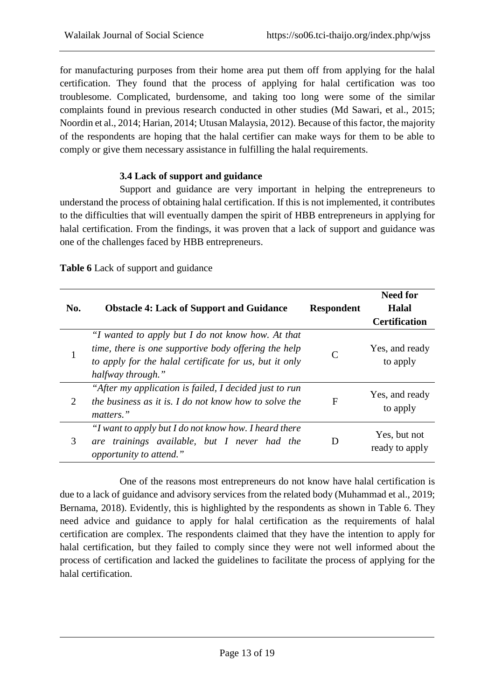for manufacturing purposes from their home area put them off from applying for the halal certification. They found that the process of applying for halal certification was too troublesome. Complicated, burdensome, and taking too long were some of the similar complaints found in previous research conducted in other studies (Md Sawari, et al., 2015; Noordin et al., 2014; Harian, 2014; Utusan Malaysia, 2012). Because of this factor, the majority of the respondents are hoping that the halal certifier can make ways for them to be able to comply or give them necessary assistance in fulfilling the halal requirements.

## **3.4 Lack of support and guidance**

Support and guidance are very important in helping the entrepreneurs to understand the process of obtaining halal certification. If this is not implemented, it contributes to the difficulties that will eventually dampen the spirit of HBB entrepreneurs in applying for halal certification. From the findings, it was proven that a lack of support and guidance was one of the challenges faced by HBB entrepreneurs.

| No. | <b>Obstacle 4: Lack of Support and Guidance</b>                                                                                                                                          | <b>Respondent</b> | <b>Need for</b><br>Halal<br><b>Certification</b> |
|-----|------------------------------------------------------------------------------------------------------------------------------------------------------------------------------------------|-------------------|--------------------------------------------------|
|     | "I wanted to apply but I do not know how. At that<br>time, there is one supportive body offering the help<br>to apply for the halal certificate for us, but it only<br>halfway through." |                   | Yes, and ready<br>to apply                       |
| 2   | "After my application is failed, I decided just to run<br>the business as it is. I do not know how to solve the<br>matters."                                                             | F                 | Yes, and ready<br>to apply                       |
| 3   | "I want to apply but I do not know how. I heard there<br>trainings available, but I never had the<br>are<br>opportunity to attend."                                                      |                   | Yes, but not<br>ready to apply                   |

**Table 6** Lack of support and guidance

One of the reasons most entrepreneurs do not know have halal certification is due to a lack of guidance and advisory services from the related body (Muhammad et al., 2019; Bernama, 2018). Evidently, this is highlighted by the respondents as shown in Table 6. They need advice and guidance to apply for halal certification as the requirements of halal certification are complex. The respondents claimed that they have the intention to apply for halal certification, but they failed to comply since they were not well informed about the process of certification and lacked the guidelines to facilitate the process of applying for the halal certification.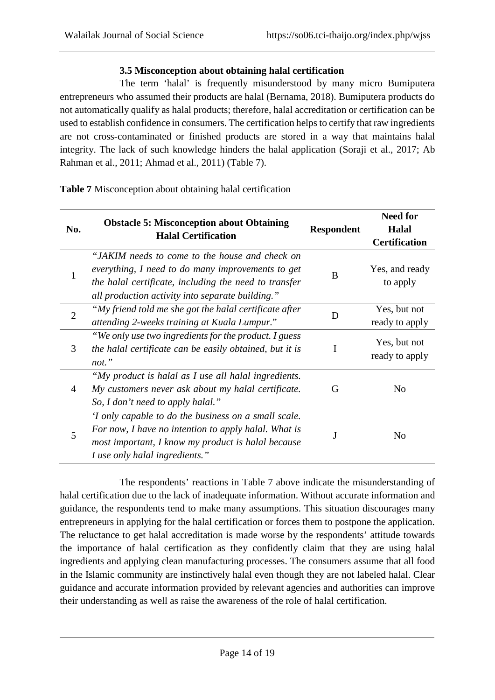## **3.5 Misconception about obtaining halal certification**

The term 'halal' is frequently misunderstood by many micro Bumiputera entrepreneurs who assumed their products are halal (Bernama, 2018). Bumiputera products do not automatically qualify as halal products; therefore, halal accreditation or certification can be used to establish confidence in consumers. The certification helps to certify that raw ingredients are not cross-contaminated or finished products are stored in a way that maintains halal integrity. The lack of such knowledge hinders the halal application (Soraji et al., 2017; Ab Rahman et al., 2011; Ahmad et al., 2011) (Table 7).

| No.            |                                                                                |                   | <b>Need for</b>                |
|----------------|--------------------------------------------------------------------------------|-------------------|--------------------------------|
|                | <b>Obstacle 5: Misconception about Obtaining</b><br><b>Halal Certification</b> | <b>Respondent</b> | Halal                          |
|                |                                                                                |                   | <b>Certification</b>           |
|                | "JAKIM needs to come to the house and check on                                 |                   |                                |
| 1              | everything, I need to do many improvements to get                              | B                 | Yes, and ready                 |
|                | the halal certificate, including the need to transfer                          |                   | to apply                       |
|                | all production activity into separate building."                               |                   |                                |
| $\overline{2}$ | "My friend told me she got the halal certificate after                         | D                 | Yes, but not                   |
|                | attending 2-weeks training at Kuala Lumpur."                                   |                   | ready to apply                 |
|                | "We only use two ingredients for the product. I guess                          |                   | Yes, but not<br>ready to apply |
| 3              | the halal certificate can be easily obtained, but it is                        |                   |                                |
|                | not."                                                                          |                   |                                |
|                | "My product is halal as I use all halal ingredients.                           |                   |                                |
| 4              | My customers never ask about my halal certificate.                             | G                 | No                             |
|                | So, I don't need to apply halal."                                              |                   |                                |
| 5              | 'I only capable to do the business on a small scale.                           |                   |                                |
|                | For now, I have no intention to apply halal. What is                           |                   | No                             |
|                | most important, I know my product is halal because                             |                   |                                |
|                | I use only halal ingredients."                                                 |                   |                                |

**Table 7** Misconception about obtaining halal certification

The respondents' reactions in Table 7 above indicate the misunderstanding of halal certification due to the lack of inadequate information. Without accurate information and guidance, the respondents tend to make many assumptions. This situation discourages many entrepreneurs in applying for the halal certification or forces them to postpone the application. The reluctance to get halal accreditation is made worse by the respondents' attitude towards the importance of halal certification as they confidently claim that they are using halal ingredients and applying clean manufacturing processes. The consumers assume that all food in the Islamic community are instinctively halal even though they are not labeled halal. Clear guidance and accurate information provided by relevant agencies and authorities can improve their understanding as well as raise the awareness of the role of halal certification.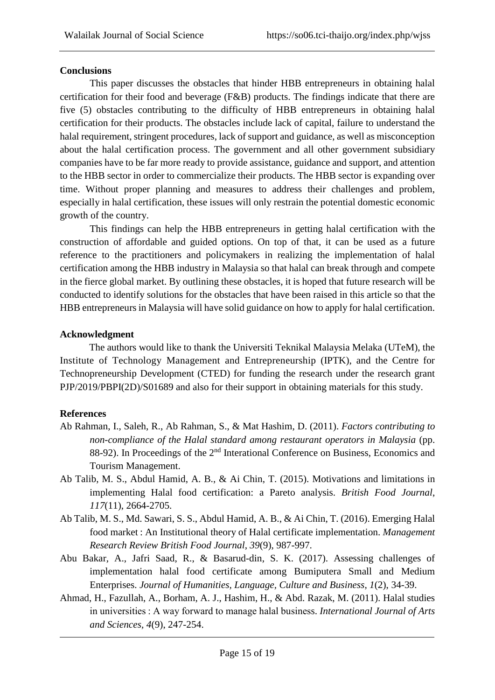## **Conclusions**

This paper discusses the obstacles that hinder HBB entrepreneurs in obtaining halal certification for their food and beverage (F&B) products. The findings indicate that there are five (5) obstacles contributing to the difficulty of HBB entrepreneurs in obtaining halal certification for their products. The obstacles include lack of capital, failure to understand the halal requirement, stringent procedures, lack of support and guidance, as well as misconception about the halal certification process. The government and all other government subsidiary companies have to be far more ready to provide assistance, guidance and support, and attention to the HBB sector in order to commercialize their products. The HBB sector is expanding over time. Without proper planning and measures to address their challenges and problem, especially in halal certification, these issues will only restrain the potential domestic economic growth of the country.

This findings can help the HBB entrepreneurs in getting halal certification with the construction of affordable and guided options. On top of that, it can be used as a future reference to the practitioners and policymakers in realizing the implementation of halal certification among the HBB industry in Malaysia so that halal can break through and compete in the fierce global market. By outlining these obstacles, it is hoped that future research will be conducted to identify solutions for the obstacles that have been raised in this article so that the HBB entrepreneurs in Malaysia will have solid guidance on how to apply for halal certification.

## **Acknowledgment**

The authors would like to thank the Universiti Teknikal Malaysia Melaka (UTeM), the Institute of Technology Management and Entrepreneurship (IPTK), and the Centre for Technopreneurship Development (CTED) for funding the research under the research grant PJP/2019/PBPI(2D)/S01689 and also for their support in obtaining materials for this study.

## **References**

- Ab Rahman, I., Saleh, R., Ab Rahman, S., & Mat Hashim, D. (2011). *Factors contributing to non-compliance of the Halal standard among restaurant operators in Malaysia* (pp. 88-92). In Proceedings of the 2<sup>nd</sup> Interational Conference on Business, Economics and Tourism Management.
- Ab Talib, M. S., Abdul Hamid, A. B., & Ai Chin, T. (2015). Motivations and limitations in implementing Halal food certification: a Pareto analysis. *British Food Journal*, *117*(11), 2664-2705.
- Ab Talib, M. S., Md. Sawari, S. S., Abdul Hamid, A. B., & Ai Chin, T. (2016). Emerging Halal food market : An Institutional theory of Halal certificate implementation. *Management Research Review British Food Journal*, *39*(9), 987-997.
- Abu Bakar, A., Jafri Saad, R., & Basarud-din, S. K. (2017). Assessing challenges of implementation halal food certificate among Bumiputera Small and Medium Enterprises. *Journal of Humanities, Language, Culture and Business*, *1*(2), 34-39.
- Ahmad, H., Fazullah, A., Borham, A. J., Hashim, H., & Abd. Razak, M. (2011). Halal studies in universities : A way forward to manage halal business. *International Journal of Arts and Sciences, 4*(9), 247-254.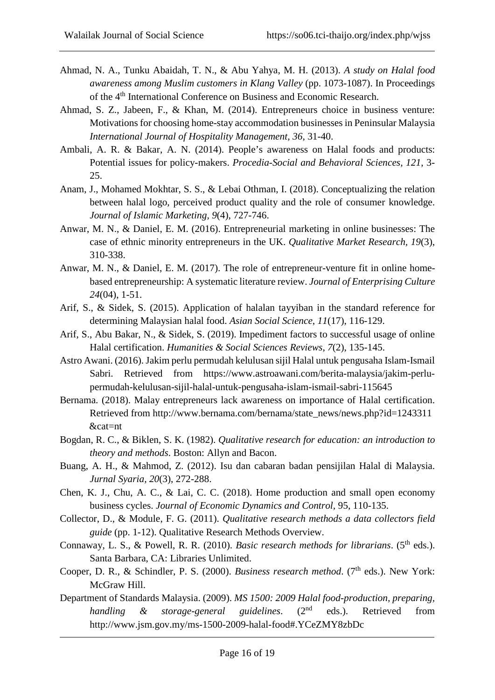- Ahmad, N. A., Tunku Abaidah, T. N., & Abu Yahya, M. H. (2013). *A study on Halal food awareness among Muslim customers in Klang Valley* (pp. 1073-1087). In Proceedings of the 4th International Conference on Business and Economic Research.
- Ahmad, S. Z., Jabeen, F., & Khan, M. (2014). Entrepreneurs choice in business venture: Motivations for choosing home-stay accommodation businesses in Peninsular Malaysia *International Journal of Hospitality Management, 36*, 31-40.
- Ambali, A. R. & Bakar, A. N. (2014). People's awareness on Halal foods and products: Potential issues for policy-makers. *Procedia-Social and Behavioral Sciences, 121*, 3- 25.
- Anam, J., Mohamed Mokhtar, S. S., & Lebai Othman, I. (2018). Conceptualizing the relation between halal logo, perceived product quality and the role of consumer knowledge. *Journal of Islamic Marketing, 9*(4), 727-746.
- Anwar, M. N., & Daniel, E. M. (2016). Entrepreneurial marketing in online businesses: The case of ethnic minority entrepreneurs in the UK. *[Qualitative Market Research,](https://www.researchgate.net/journal/1352-2752_Qualitative_Market_Research) 19*(3), 310-338.
- Anwar, M. N., & Daniel, E. M. (2017). The role of entrepreneur-venture fit in online homebased entrepreneurship: A systematic literature review. *[Journal of Enterprising Culture](https://www.researchgate.net/journal/0218-4958_Journal_of_Enterprising_Culture) 24*(04), 1-51.
- Arif, S., & Sidek, S. (2015). Application of halalan tayyiban in the standard reference for determining Malaysian halal food. *Asian Social Science*, *11*(17), 116-129.
- Arif, S., Abu Bakar, N., & Sidek, S. (2019). Impediment factors to successful usage of online Halal certification. *Humanities & Social Sciences Reviews*, *7*(2), 135-145.
- Astro Awani. (2016). Jakim perlu permudah kelulusan sijil Halal untuk pengusaha Islam-Ismail Sabri. Retrieved from https://www.astroawani.com/berita-malaysia/jakim-perlupermudah-kelulusan-sijil-halal-untuk-pengusaha-islam-ismail-sabri-115645
- Bernama. (2018). Malay entrepreneurs lack awareness on importance of Halal certification. Retrieved from [http://www.bernama.com/bernama/state\\_news/news.php?id=1243311](http://www.bernama.com/bernama/state_news/news.php?id=1243311) &cat=nt
- Bogdan, R. C., & Biklen, S. K. (1982). *Qualitative research for education: an introduction to theory and methods*. Boston: Allyn and Bacon.
- Buang, A. H., & Mahmod, Z. (2012). Isu dan cabaran badan pensijilan Halal di Malaysia. *Jurnal Syaria, 20*(3), 272-288.
- Chen, K. J., Chu, A. C., & Lai, C. C. (2018). Home production and small open economy business cycles. *Journal [of Economic Dynamics and Control,](https://www.researchgate.net/journal/0165-1889_Journal_of_Economic_Dynamics_and_Control)* 95, 110-135.
- Collector, D., & Module, F. G. (2011). *Qualitative research methods a data collectors field guide* (pp. 1-12). Qualitative Research Methods Overview.
- Connaway, L. S., & Powell, R. R. (2010). *Basic research methods for librarians*. (5<sup>th</sup> eds.). Santa Barbara, CA: Libraries Unlimited.
- Cooper, D. R., & Schindler, P. S. (2000). *Business research method.* (7<sup>th</sup> eds.). New York: McGraw Hill.
- Department of Standards Malaysia. (2009). *MS 1500: 2009 Halal food-production, preparing, handling & storage-general guidelines.* (2<sup>nd</sup> eds.). Retrieved from http://www.jsm.gov.my/ms-1500-2009-halal-food#.YCeZMY8zbDc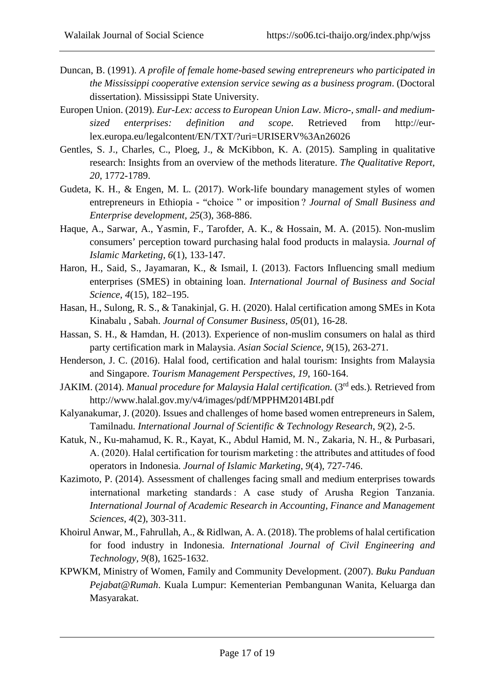- Duncan, B. (1991). *A profile of female home-based sewing entrepreneurs who participated in the Mississippi cooperative extension service sewing as a business program*. (Doctoral dissertation). Mississippi State University.
- Europen Union. (2019). *Eur-Lex: access to European Union Law. Micro-, small- and mediumsized enterprises: definition and scope*. Retrieved from http://eurlex.europa.eu/legalcontent/EN/TXT/?uri=URISERV%3An26026
- Gentles, S. J., Charles, C., Ploeg, J., & McKibbon, K. A. (2015). Sampling in qualitative research: Insights from an overview of the methods literature. *The Qualitative Report, 20*, 1772-1789.
- Gudeta, K. H., & Engen, M. L. (2017). Work-life boundary management styles of women entrepreneurs in Ethiopia - "choice " or imposition ? *Journal of Small Business and Enterprise development*, *25*(3), 368-886.
- Haque, A., Sarwar, A., Yasmin, F., Tarofder, A. K., & Hossain, M. A. (2015). Non-muslim consumers' perception toward purchasing halal food products in malaysia. *Journal of Islamic Marketing*, *6*(1), 133-147.
- Haron, H., Said, S., Jayamaran, K., & Ismail, I. (2013). Factors Influencing small medium enterprises (SMES) in obtaining loan. *International Journal of Business and Social Science*, *4*(15), 182–195.
- Hasan, H., Sulong, R. S., & Tanakinjal, G. H. (2020). Halal certification among SMEs in Kota Kinabalu , Sabah. *Journal of Consumer Business*, *05*(01), 16-28.
- Hassan, S. H., & Hamdan, H. (2013). Experience of non-muslim consumers on halal as third party certification mark in Malaysia. *Asian Social Science*, *9*(15), 263-271.
- Henderson, J. C. (2016). Halal food, certification and halal tourism: Insights from Malaysia and Singapore. *Tourism Management Perspectives*, *19*, 160-164.
- JAKIM. (2014). *Manual procedure for Malaysia Halal certification.* (3rd eds.)*.* Retrieved from http://www.halal.gov.my/v4/images/pdf/MPPHM2014BI.pdf
- Kalyanakumar, J. (2020). Issues and challenges of home based women entrepreneurs in Salem, Tamilnadu. *International Journal of Scientific & Technology Research*, *9*(2), 2-5.
- Katuk, N., Ku-mahamud, K. R., Kayat, K., Abdul Hamid, M. N., Zakaria, N. H., & Purbasari, A. (2020). Halal certification for tourism marketing : the attributes and attitudes of food operators in Indonesia. *Journal of Islamic Marketing*, *9*(4), 727-746.
- Kazimoto, P. (2014). Assessment of challenges facing small and medium enterprises towards international marketing standards : A case study of Arusha Region Tanzania. *International Journal of Academic Research in Accounting, Finance and Management Sciences*, *4*(2), 303-311.
- Khoirul Anwar, M., Fahrullah, A., & Ridlwan, A. A. (2018). The problems of halal certification for food industry in Indonesia. *International Journal of Civil Engineering and Technology, 9*(8), 1625-1632.
- KPWKM, Ministry of Women, Family and Community Development. (2007). *Buku Panduan Pejabat@Rumah*. Kuala Lumpur: Kementerian Pembangunan Wanita, Keluarga dan Masyarakat.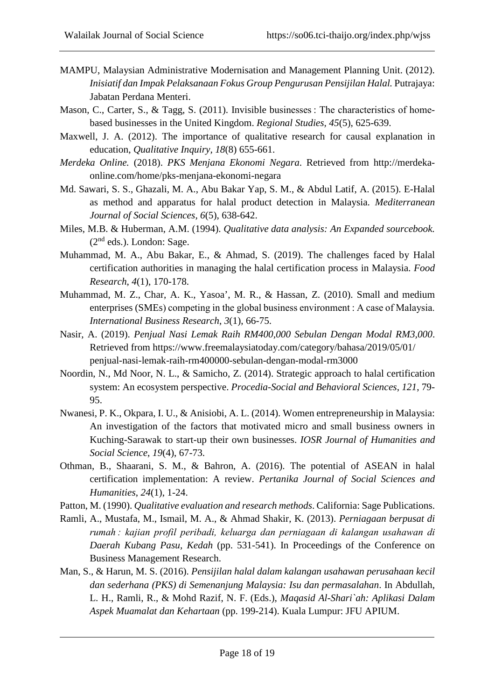- MAMPU, Malaysian Administrative Modernisation and Management Planning Unit. (2012). *Inisiatif dan Impak Pelaksanaan Fokus Group Pengurusan Pensijilan Halal.* Putrajaya: Jabatan Perdana Menteri.
- Mason, C., Carter, S., & Tagg, S. (2011). Invisible businesses : The characteristics of homebased businesses in the United Kingdom. *Regional Studies, 45*(5), 625-639.
- Maxwell, J. A. (2012). The importance of qualitative research for causal explanation in education, *Qualitative Inquiry, 18*(8) 655-661.
- *Merdeka Online.* (2018). *PKS Menjana Ekonomi Negara*. Retrieved from http://merdekaonline.com/home/pks-menjana-ekonomi-negara
- Md. Sawari, S. S., Ghazali, M. A., Abu Bakar Yap, S. M., & Abdul Latif, A. (2015). E-Halal as method and apparatus for halal product detection in Malaysia. *Mediterranean Journal of Social Sciences*, *6*(5), 638-642.
- Miles, M.B. & Huberman, A.M. (1994). *Qualitative data analysis: An Expanded sourcebook.* (2nd eds.). London: Sage.
- Muhammad, M. A., Abu Bakar, E., & Ahmad, S. (2019). The challenges faced by Halal certification authorities in managing the halal certification process in Malaysia. *Food Research*, *4*(1), 170-178.
- Muhammad, M. Z., Char, A. K., Yasoa', M. R., & Hassan, Z. (2010). Small and medium enterprises (SMEs) competing in the global business environment : A case of Malaysia. *International Business Research*, *3*(1), 66-75.
- Nasir, A. (2019). *Penjual Nasi Lemak Raih RM400,000 Sebulan Dengan Modal RM3,000*. Retrieved from https://www.freemalaysiatoday.com/category/bahasa/2019/05/01/ penjual-nasi-lemak-raih-rm400000-sebulan-dengan-modal-rm3000
- Noordin, N., Md Noor, N. L., & Samicho, Z. (2014). Strategic approach to halal certification system: An ecosystem perspective. *Procedia-Social and Behavioral Sciences*, *121*, 79- 95.
- Nwanesi, P. K., Okpara, I. U., & Anisiobi, A. L. (2014). Women entrepreneurship in Malaysia: An investigation of the factors that motivated micro and small business owners in Kuching-Sarawak to start-up their own businesses. *IOSR Journal of Humanities and Social Science*, *19*(4), 67-73.
- Othman, B., Shaarani, S. M., & Bahron, A. (2016). The potential of ASEAN in halal certification implementation: A review. *Pertanika Journal of Social Sciences and Humanities*, *24*(1), 1-24.
- Patton, M. (1990). *Qualitative evaluation and research methods*. California: Sage Publications.
- Ramli, A., Mustafa, M., Ismail, M. A., & Ahmad Shakir, K. (2013). *Perniagaan berpusat di rumah : kajian profil peribadi, keluarga dan perniagaan di kalangan usahawan di Daerah Kubang Pasu, Kedah* (pp. 531-541). In Proceedings of the Conference on Business Management Research.
- Man, S., & Harun, M. S. (2016). *Pensijilan halal dalam kalangan usahawan perusahaan kecil dan sederhana (PKS) di Semenanjung Malaysia: Isu dan permasalahan*. In Abdullah, L. H., Ramli, R., & Mohd Razif, N. F. (Eds.), *Maqasid Al-Shari`ah: Aplikasi Dalam Aspek Muamalat dan Kehartaan* (pp. 199-214). Kuala Lumpur: JFU APIUM.